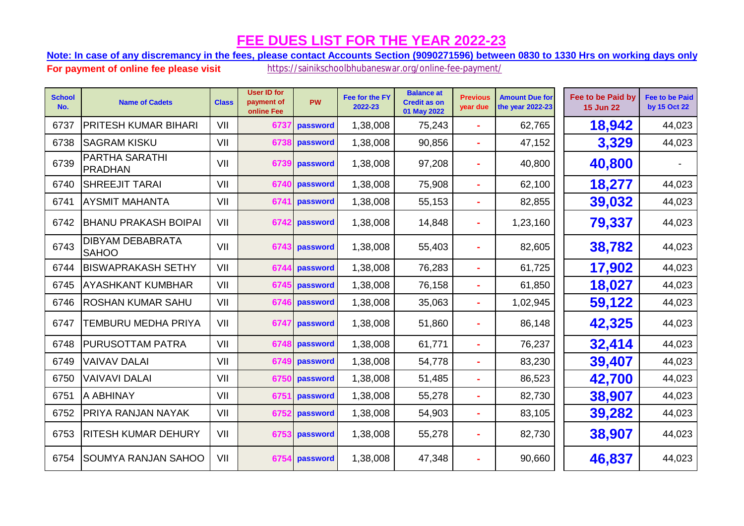**Note: In case of any discremancy in the fees, please contact Accounts Section (9090271596) between 0830 to 1330 Hrs on working days only.**

| <b>School</b><br>No. | <b>Name of Cadets</b>                   | <b>Class</b> | <b>User ID for</b><br>payment of<br>online Fee | PW       | Fee for the FY<br>2022-23 | <b>Balance at</b><br><b>Credit as on</b><br>01 May 2022 | <b>Previous</b><br>year due | <b>Amount Due for</b><br>the year 2022-23 | Fee to be Paid by<br><b>15 Jun 22</b> | <b>Fee to be Paid</b><br>by 15 Oct 22 |
|----------------------|-----------------------------------------|--------------|------------------------------------------------|----------|---------------------------|---------------------------------------------------------|-----------------------------|-------------------------------------------|---------------------------------------|---------------------------------------|
| 6737                 | PRITESH KUMAR BIHARI                    | VII          | 6737                                           | password | 1,38,008                  | 75,243                                                  | ×.                          | 62,765                                    | 18,942                                | 44,023                                |
| 6738                 | <b>SAGRAM KISKU</b>                     | VII          | 6738                                           | password | 1,38,008                  | 90,856                                                  | ÷.                          | 47,152                                    | 3,329                                 | 44,023                                |
| 6739                 | PARTHA SARATHI<br>PRADHAN               | VII          | 6739                                           | password | 1,38,008                  | 97,208                                                  | $\sim$                      | 40,800                                    | 40,800                                |                                       |
| 6740                 | <b>SHREEJIT TARAI</b>                   | VII          | 6740                                           | password | 1,38,008                  | 75,908                                                  |                             | 62,100                                    | 18,277                                | 44,023                                |
| 6741                 | <b>AYSMIT MAHANTA</b>                   | VII          | 6741                                           | password | 1,38,008                  | 55,153                                                  | ÷                           | 82,855                                    | 39,032                                | 44,023                                |
| 6742                 | <b>BHANU PRAKASH BOIPAI</b>             | VII          | 6742                                           | password | 1,38,008                  | 14,848                                                  | ۰                           | 1,23,160                                  | 79,337                                | 44,023                                |
| 6743                 | <b>DIBYAM DEBABRATA</b><br><b>SAHOO</b> | VII          | 6743                                           | password | 1,38,008                  | 55,403                                                  | $\blacksquare$              | 82,605                                    | 38,782                                | 44,023                                |
| 6744                 | <b>BISWAPRAKASH SETHY</b>               | VII          | 6744                                           | password | 1,38,008                  | 76,283                                                  | ×.                          | 61,725                                    | 17,902                                | 44,023                                |
| 6745                 | <b>AYASHKANT KUMBHAR</b>                | VII          | 6745                                           | password | 1,38,008                  | 76,158                                                  | ÷                           | 61,850                                    | 18,027                                | 44,023                                |
| 6746                 | <b>ROSHAN KUMAR SAHU</b>                | VII          | 6746                                           | password | 1,38,008                  | 35,063                                                  | $\sim$                      | 1,02,945                                  | 59,122                                | 44,023                                |
| 6747                 | TEMBURU MEDHA PRIYA                     | VII          | 6747                                           | password | 1,38,008                  | 51,860                                                  |                             | 86,148                                    | 42,325                                | 44,023                                |
| 6748                 | <b>PURUSOTTAM PATRA</b>                 | VII          | 6748                                           | password | 1,38,008                  | 61,771                                                  |                             | 76,237                                    | 32,414                                | 44,023                                |
| 6749                 | <b>VAIVAV DALAI</b>                     | VII          | 6749                                           | password | 1,38,008                  | 54,778                                                  |                             | 83,230                                    | 39,407                                | 44,023                                |
| 6750                 | <b>VAIVAVI DALAI</b>                    | VII          | 6750                                           | password | 1,38,008                  | 51,485                                                  | ÷.                          | 86,523                                    | 42,700                                | 44,023                                |
| 6751                 | A ABHINAY                               | VII          | 6751                                           | password | 1,38,008                  | 55,278                                                  |                             | 82,730                                    | 38,907                                | 44,023                                |
| 6752                 | PRIYA RANJAN NAYAK                      | VII          | 6752                                           | password | 1,38,008                  | 54,903                                                  | $\blacksquare$              | 83,105                                    | 39,282                                | 44,023                                |
| 6753                 | <b>RITESH KUMAR DEHURY</b>              | VII          | 6753                                           | password | 1,38,008                  | 55,278                                                  | ٠                           | 82,730                                    | 38,907                                | 44,023                                |
| 6754                 | ISOUMYA RANJAN SAHOO                    | VII          | 6754                                           | password | 1,38,008                  | 47,348                                                  | ٠                           | 90,660                                    | 46,837                                | 44,023                                |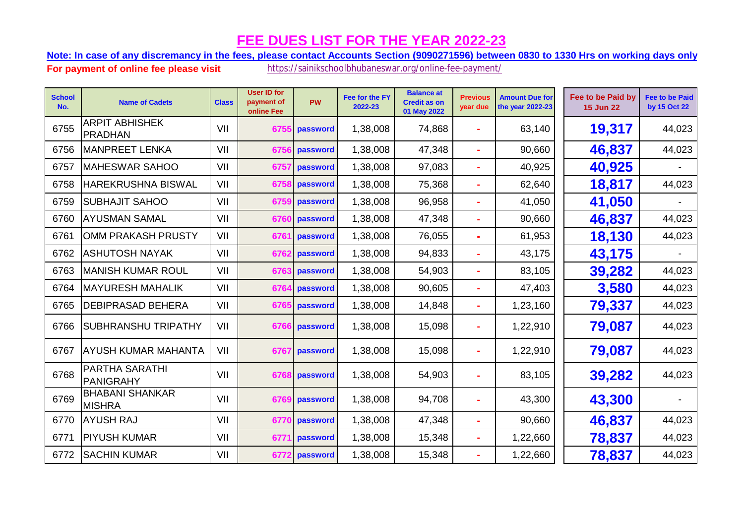**Note: In case of any discremancy in the fees, please contact Accounts Section (9090271596) between 0830 to 1330 Hrs on working days only.**

| <b>School</b><br>No. | <b>Name of Cadets</b>                     | <b>Class</b> | <b>User ID for</b><br>payment of<br>online Fee | <b>PW</b> | Fee for the FY<br>2022-23 | <b>Balance at</b><br><b>Credit as on</b><br>01 May 2022 | <b>Previous</b><br>year due | <b>Amount Due for</b><br>the year 2022-23 | Fee to be Paid by<br><b>15 Jun 22</b> | <b>Fee to be Paid</b><br>by 15 Oct 22 |
|----------------------|-------------------------------------------|--------------|------------------------------------------------|-----------|---------------------------|---------------------------------------------------------|-----------------------------|-------------------------------------------|---------------------------------------|---------------------------------------|
| 6755                 | <b>ARPIT ABHISHEK</b><br>PRADHAN          | VII          | 6755                                           | password  | 1,38,008                  | 74,868                                                  | ÷                           | 63,140                                    | 19,317                                | 44,023                                |
| 6756                 | <b>MANPREET LENKA</b>                     | VII          | 6756                                           | password  | 1,38,008                  | 47,348                                                  |                             | 90,660                                    | 46,837                                | 44,023                                |
| 6757                 | <b>MAHESWAR SAHOO</b>                     | VII          | 6757                                           | password  | 1,38,008                  | 97,083                                                  | ۰                           | 40,925                                    | 40,925                                |                                       |
| 6758                 | <b>HAREKRUSHNA BISWAL</b>                 | VII          | 6758                                           | password  | 1,38,008                  | 75,368                                                  | ۰                           | 62,640                                    | 18,817                                | 44,023                                |
| 6759                 | <b>SUBHAJIT SAHOO</b>                     | VII          | 6759                                           | password  | 1,38,008                  | 96,958                                                  | ۰                           | 41,050                                    | 41,050                                |                                       |
| 6760                 | <b>AYUSMAN SAMAL</b>                      | VII          | 6760                                           | password  | 1,38,008                  | 47,348                                                  |                             | 90,660                                    | 46,837                                | 44,023                                |
| 6761                 | OMM PRAKASH PRUSTY                        | VII          | 6761                                           | password  | 1,38,008                  | 76,055                                                  | ÷.                          | 61,953                                    | 18,130                                | 44,023                                |
| 6762                 | <b>ASHUTOSH NAYAK</b>                     | VII          | 6762                                           | password  | 1,38,008                  | 94,833                                                  |                             | 43,175                                    | 43,175                                |                                       |
| 6763                 | <b>MANISH KUMAR ROUL</b>                  | VII          | 6763                                           | password  | 1,38,008                  | 54,903                                                  |                             | 83,105                                    | 39,282                                | 44,023                                |
| 6764                 | <b>MAYURESH MAHALIK</b>                   | VII          | 6764                                           | password  | 1,38,008                  | 90,605                                                  |                             | 47,403                                    | 3,580                                 | 44,023                                |
| 6765                 | <b>DEBIPRASAD BEHERA</b>                  | VII          | 6765                                           | password  | 1,38,008                  | 14,848                                                  |                             | 1,23,160                                  | 79,337                                | 44,023                                |
| 6766                 | <b>SUBHRANSHU TRIPATHY</b>                | VII          | 6766                                           | password  | 1,38,008                  | 15,098                                                  | ۰                           | 1,22,910                                  | 79,087                                | 44,023                                |
| 6767                 | <b>AYUSH KUMAR MAHANTA</b>                | VII          | 6767                                           | password  | 1,38,008                  | 15,098                                                  |                             | 1,22,910                                  | 79,087                                | 44,023                                |
| 6768                 | <b>PARTHA SARATHI</b><br><b>PANIGRAHY</b> | VII          | 6768                                           | password  | 1,38,008                  | 54,903                                                  |                             | 83,105                                    | 39,282                                | 44,023                                |
| 6769                 | <b>BHABANI SHANKAR</b><br><b>MISHRA</b>   | VII          | 6769                                           | password  | 1,38,008                  | 94,708                                                  | ÷                           | 43,300                                    | 43,300                                |                                       |
| 6770                 | <b>AYUSH RAJ</b>                          | VII          | 6770                                           | password  | 1,38,008                  | 47,348                                                  |                             | 90,660                                    | 46,837                                | 44,023                                |
| 6771                 | <b>PIYUSH KUMAR</b>                       | VII          | 677                                            | password  | 1,38,008                  | 15,348                                                  |                             | 1,22,660                                  | 78,837                                | 44,023                                |
| 6772                 | <b>SACHIN KUMAR</b>                       | VII          | 677                                            | password  | 1,38,008                  | 15,348                                                  | ÷.                          | 1,22,660                                  | 78,837                                | 44,023                                |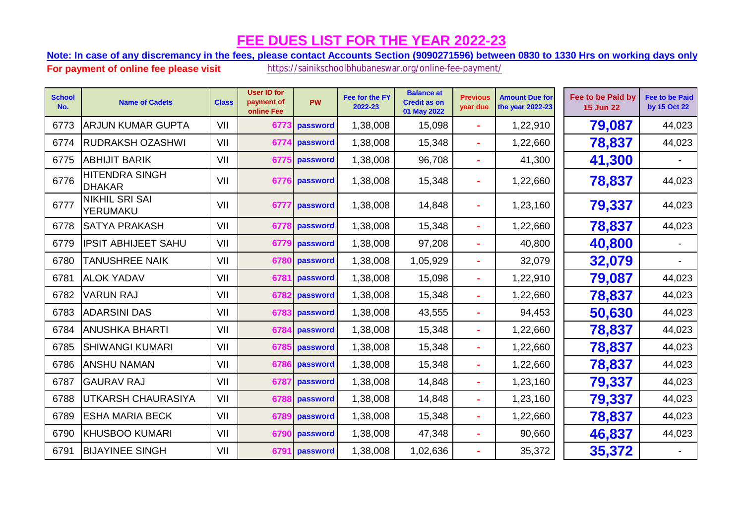**Note: In case of any discremancy in the fees, please contact Accounts Section (9090271596) between 0830 to 1330 Hrs on working days only.**

| <b>School</b><br>No. | <b>Name of Cadets</b>                  | <b>Class</b> | <b>User ID for</b><br>payment of<br>online Fee | <b>PW</b> | Fee for the FY<br>2022-23 | <b>Balance at</b><br><b>Credit as on</b><br>01 May 2022 | <b>Previous</b><br>year due | <b>Amount Due for</b><br>the year 2022-23 | Fee to be Paid by<br><b>15 Jun 22</b> | <b>Fee to be Paid</b><br>by 15 Oct 22 |
|----------------------|----------------------------------------|--------------|------------------------------------------------|-----------|---------------------------|---------------------------------------------------------|-----------------------------|-------------------------------------------|---------------------------------------|---------------------------------------|
| 6773                 | <b>ARJUN KUMAR GUPTA</b>               | VII          | 6773                                           | password  | 1,38,008                  | 15,098                                                  | $\sim$                      | 1,22,910                                  | 79,087                                | 44,023                                |
| 6774                 | <b>RUDRAKSH OZASHWI</b>                | VII          | 677                                            | password  | 1,38,008                  | 15,348                                                  |                             | 1,22,660                                  | 78,837                                | 44,023                                |
| 6775                 | <b>ABHIJIT BARIK</b>                   | VII          | 6775                                           | password  | 1,38,008                  | 96,708                                                  | ÷.                          | 41,300                                    | 41,300                                |                                       |
| 6776                 | <b>HITENDRA SINGH</b><br><b>DHAKAR</b> | VII          | 6776                                           | password  | 1,38,008                  | 15,348                                                  |                             | 1,22,660                                  | 78,837                                | 44,023                                |
| 6777                 | <b>NIKHIL SRI SAI</b><br>YERUMAKU      | VII          | 6777                                           | password  | 1,38,008                  | 14,848                                                  |                             | 1,23,160                                  | 79,337                                | 44,023                                |
| 6778                 | <b>SATYA PRAKASH</b>                   | VII          | 6778                                           | password  | 1,38,008                  | 15,348                                                  | ×.                          | 1,22,660                                  | 78,837                                | 44,023                                |
| 6779                 | <b>IPSIT ABHIJEET SAHU</b>             | VII          | 677                                            | password  | 1,38,008                  | 97,208                                                  |                             | 40,800                                    | 40,800                                |                                       |
| 6780                 | <b>TANUSHREE NAIK</b>                  | VII          | 6780                                           | password  | 1,38,008                  | 1,05,929                                                | ×.                          | 32,079                                    | 32,079                                |                                       |
| 6781                 | <b>ALOK YADAV</b>                      | VII          | 6781                                           | password  | 1,38,008                  | 15,098                                                  |                             | 1,22,910                                  | 79,087                                | 44,023                                |
| 6782                 | <b>VARUN RAJ</b>                       | VII          | 6782                                           | password  | 1,38,008                  | 15,348                                                  |                             | 1,22,660                                  | 78,837                                | 44,023                                |
| 6783                 | <b>ADARSINI DAS</b>                    | VII          | 6783                                           | password  | 1,38,008                  | 43,555                                                  |                             | 94,453                                    | 50,630                                | 44,023                                |
| 6784                 | <b>ANUSHKA BHARTI</b>                  | VII          | 6784                                           | password  | 1,38,008                  | 15,348                                                  | $\sim$                      | 1,22,660                                  | 78,837                                | 44,023                                |
| 6785                 | <b>SHIWANGI KUMARI</b>                 | VII          | 6785                                           | password  | 1,38,008                  | 15,348                                                  |                             | 1,22,660                                  | 78,837                                | 44,023                                |
| 6786                 | <b>ANSHU NAMAN</b>                     | VII          | 678                                            | password  | 1,38,008                  | 15,348                                                  |                             | 1,22,660                                  | 78,837                                | 44,023                                |
| 6787                 | <b>GAURAV RAJ</b>                      | VII          | 6787                                           | password  | 1,38,008                  | 14,848                                                  | $\sim$                      | 1,23,160                                  | 79,337                                | 44,023                                |
| 6788                 | <b>UTKARSH CHAURASIYA</b>              | VII          | 678                                            | password  | 1,38,008                  | 14,848                                                  |                             | 1,23,160                                  | 79,337                                | 44,023                                |
| 6789                 | <b>ESHA MARIA BECK</b>                 | VII          | 6789                                           | password  | 1,38,008                  | 15,348                                                  |                             | 1,22,660                                  | 78,837                                | 44,023                                |
| 6790                 | <b>KHUSBOO KUMARI</b>                  | VII          | 679                                            | password  | 1,38,008                  | 47,348                                                  |                             | 90,660                                    | 46,837                                | 44,023                                |
| 6791                 | <b>BIJAYINEE SINGH</b>                 | VII          | 6791                                           | password  | 1,38,008                  | 1,02,636                                                |                             | 35,372                                    | 35,372                                |                                       |